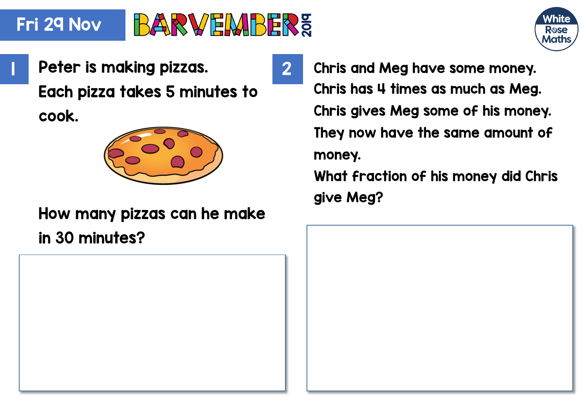#### Fri 29 Nov **BARVEMBERE**



**Peter is making pizzas.** 2 Each pizza takes 5 minutes to cook.



## How many pizzas can he make in 30 minutes?

Chris and Meg have some money. Chris has 4 times as much as Meg. Chris gives Meg some of his money. They now have the same amount of money. What fraction of his money did Chris

give Meg?

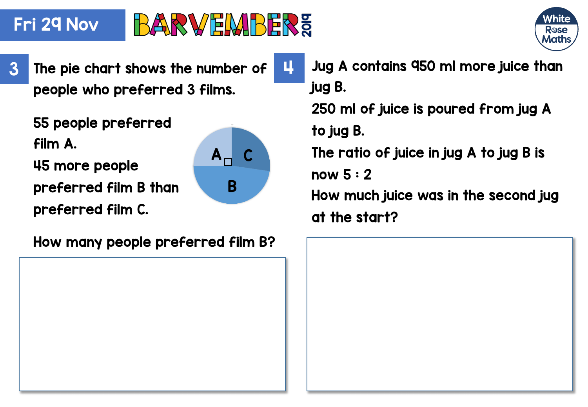### Fri 29 Nov

# **BARVEMBERE**

 $A_{\sqcap}$   $C$ 

B



people who preferred 3 films.

55 people preferred film A.

45 more people

preferred film B than

preferred film C.

How many people preferred film B?

 $3$  The pie chart shows the number of  $\begin{array}{|c|c|} \hline \textbf{1} & \textbf{J} & \textbf{u}\textbf{g} & \textbf{A} & \textbf{C} & \textbf{M} \textbf{d} & \textbf{M} & \textbf{M} \textbf{g} & \textbf{M} \textbf{g} & \textbf{M} & \textbf{M} \textbf{g} & \textbf{M} & \textbf{M} \textbf{g} & \textbf{M} & \textbf{M} \textbf{g} & \textbf{M} & \textbf{M} \textbf{g} & \text$ jug B.

> 250 ml of juice is poured from jug A to jug B.

The ratio of juice in jug A to jug B is

now 5 : 2

How much juice was in the second jug at the start?